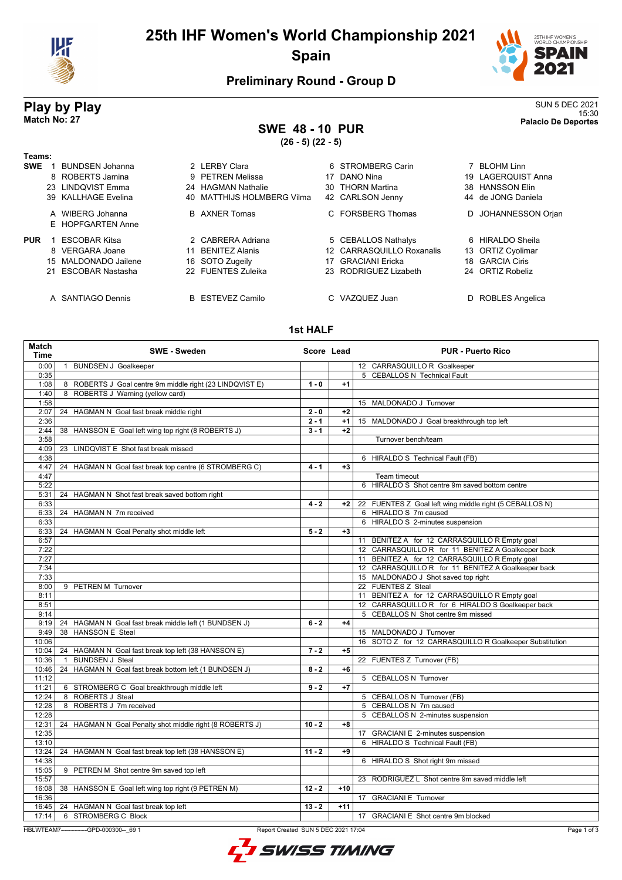

# **25th IHF Women's World Championship 2021 Spain**



## **Preliminary Round - Group D**

### **Play by Play** SUN 5 DEC 2021 15:30 **Match No: 27 Palacio De Deportes**

## **SWE 48 - 10 PUR**

**(26 - 5) (22 - 5)**

| Teams:                                |                             |                           |                               |
|---------------------------------------|-----------------------------|---------------------------|-------------------------------|
| <b>SWE</b><br>BUNDSEN Johanna         | 2 LERBY Clara               | 6 STROMBERG Carin         | <b>BLOHM Linn</b>             |
| 8 ROBERTS Jamina                      | 9 PETREN Melissa            | DANO Nina<br>17           | 19 LAGERQUIST Anna            |
| LINDQVIST Emma<br>23                  | 24 HAGMAN Nathalie          | 30 THORN Martina          | <b>HANSSON Elin</b><br>38.    |
| 39 KALLHAGE Evelina                   | 40 MATTHIJS HOLMBERG Vilma  | 42 CARLSON Jenny          | 44 de JONG Daniela            |
| A WIBERG Johanna<br>E HOPFGARTEN Anne | <b>B</b> AXNER Tomas        | C FORSBERG Thomas         | <b>JOHANNESSON Orjan</b><br>D |
| <b>PUR</b><br><b>ESCOBAR Kitsa</b>    | 2 CABRERA Adriana           | 5 CEBALLOS Nathalys       | 6 HIRALDO Sheila              |
| 8 VERGARA Joane                       | <b>BENITEZ Alanis</b><br>11 | 12 CARRASQUILLO Roxanalis | 13 ORTIZ Cyolimar             |
| 15 MALDONADO Jailene                  | 16 SOTO Zugeily             | GRACIANI Ericka<br>17     | 18 GARCIA Ciris               |
| 21 ESCOBAR Nastasha                   | 22 FUENTES Zuleika          | 23 RODRIGUEZ Lizabeth     | 24 ORTIZ Robeliz              |
|                                       |                             |                           |                               |
| A SANTIAGO Dennis                     | B ESTEVEZ Camilo            | C VAZQUEZ Juan            | ROBLES Angelica<br>D          |

#### **1st HALF**

| Match<br>Time | <b>SWE - Sweden</b>                                                                            | Score Lead |       | <b>PUR - Puerto Rico</b>                                |
|---------------|------------------------------------------------------------------------------------------------|------------|-------|---------------------------------------------------------|
| 0:00          | 1 BUNDSEN J Goalkeeper                                                                         |            |       | 12 CARRASQUILLO R Goalkeeper                            |
| 0:35          |                                                                                                |            |       | 5 CEBALLOS N Technical Fault                            |
| 1:08          | 8 ROBERTS J Goal centre 9m middle right (23 LINDQVIST E)                                       | $1 - 0$    | $+1$  |                                                         |
| 1:40          | 8 ROBERTS J Warning (yellow card)                                                              |            |       |                                                         |
| 1:58          |                                                                                                |            |       | 15 MALDONADO J Turnover                                 |
| 2:07          | 24 HAGMAN N Goal fast break middle right                                                       | $2 - 0$    | $+2$  |                                                         |
| 2:36          |                                                                                                | $2 - 1$    | $+1$  | 15 MALDONADO J Goal breakthrough top left               |
| 2:44          | 38 HANSSON E Goal left wing top right (8 ROBERTS J)                                            | $3 - 1$    | $+2$  |                                                         |
| 3:58          |                                                                                                |            |       | Turnover bench/team                                     |
| 4:09          | 23 LINDQVIST E Shot fast break missed                                                          |            |       |                                                         |
| 4:38          |                                                                                                |            |       | 6 HIRALDO S Technical Fault (FB)                        |
| 4:47          | 24 HAGMAN N Goal fast break top centre (6 STROMBERG C)                                         | $4 - 1$    | $+3$  |                                                         |
| 4:47          |                                                                                                |            |       | Team timeout                                            |
| 5:22          |                                                                                                |            |       | 6 HIRALDO S Shot centre 9m saved bottom centre          |
| 5:31          | 24 HAGMAN N Shot fast break saved bottom right                                                 |            |       |                                                         |
| 6:33          |                                                                                                | $4 - 2$    | $+2$  | 22 FUENTES Z Goal left wing middle right (5 CEBALLOS N) |
| 6:33          | 24 HAGMAN N 7m received                                                                        |            |       | 6 HIRALDO S 7m caused                                   |
| 6:33          |                                                                                                |            |       | 6 HIRALDO S 2-minutes suspension                        |
| 6:33          | 24 HAGMAN N Goal Penalty shot middle left                                                      | $5 - 2$    | $+3$  |                                                         |
| 6:57          |                                                                                                |            |       | 11 BENITEZ A for 12 CARRASQUILLO R Empty goal           |
| 7:22          |                                                                                                |            |       | 12 CARRASQUILLO R for 11 BENITEZ A Goalkeeper back      |
| 7:27          |                                                                                                |            |       | 11 BENITEZ A for 12 CARRASQUILLO R Empty goal           |
| 7:34          |                                                                                                |            |       | 12 CARRASQUILLO R for 11 BENITEZ A Goalkeeper back      |
| 7:33          |                                                                                                |            |       | 15 MALDONADO J Shot saved top right                     |
| 8:00          | 9 PETREN M Turnover                                                                            |            |       | 22 FUENTES Z Steal                                      |
| 8:11          |                                                                                                |            |       | 11 BENITEZ A for 12 CARRASQUILLO R Empty goal           |
| 8:51          |                                                                                                |            |       | 12 CARRASQUILLOR for 6 HIRALDO S Goalkeeper back        |
| 9:14          |                                                                                                |            |       | 5 CEBALLOS N Shot centre 9m missed                      |
| 9:19          | 24 HAGMAN N Goal fast break middle left (1 BUNDSEN J)                                          | $6 - 2$    | $+4$  |                                                         |
| 9:49          | 38 HANSSON E Steal                                                                             |            |       | 15 MALDONADO J Turnover                                 |
| 10:06         |                                                                                                |            |       | 16 SOTO Z for 12 CARRASQUILLO R Goalkeeper Substitution |
| 10:04         | 24 HAGMAN N Goal fast break top left (38 HANSSON E)                                            | $7 - 2$    | $+5$  |                                                         |
| 10:36         | <b>BUNDSEN J Steal</b><br>$\overline{1}$                                                       |            |       | 22 FUENTES Z Turnover (FB)                              |
| 10:46         | 24 HAGMAN N Goal fast break bottom left (1 BUNDSEN J)                                          | $8 - 2$    | $+6$  |                                                         |
| 11:12         |                                                                                                |            |       | 5 CEBALLOS N Turnover                                   |
| 11:21         | 6 STROMBERG C Goal breakthrough middle left                                                    | $9 - 2$    | $+7$  |                                                         |
| 12:24         | 8 ROBERTS J Steal                                                                              |            |       | 5 CEBALLOS N Turnover (FB)                              |
| 12:28         | 8 ROBERTS J 7m received                                                                        |            |       | 5 CEBALLOS N 7m caused                                  |
| 12:28         |                                                                                                |            |       | 5 CEBALLOS N 2-minutes suspension                       |
| 12:31         | 24 HAGMAN N Goal Penalty shot middle right (8 ROBERTS J)                                       | $10 - 2$   | $+8$  |                                                         |
| 12:35         |                                                                                                |            |       | 17 GRACIANI E 2-minutes suspension                      |
| 13:10         |                                                                                                |            |       | 6 HIRALDO S Technical Fault (FB)                        |
| 13:24         | 24 HAGMAN N Goal fast break top left (38 HANSSON E)                                            | $11 - 2$   | +9    |                                                         |
| 14:38         |                                                                                                |            |       | 6 HIRALDO S Shot right 9m missed                        |
| 15:05         | 9 PETREN M Shot centre 9m saved top left                                                       |            |       |                                                         |
| 15:57         |                                                                                                |            |       | 23 RODRIGUEZ L Shot centre 9m saved middle left         |
|               | 16:08   38 HANSSON E Goal left wing top right (9 PETREN M)                                     | $12 - 2$   | $+10$ |                                                         |
| 16:36         |                                                                                                |            |       | 17 GRACIANI E Turnover                                  |
|               | 16:45   24 HAGMAN N Goal fast break top left                                                   | $13 - 2$   | $+11$ |                                                         |
| 17:14         | 6 STROMBERG C Block                                                                            |            |       | 17 GRACIANI E Shot centre 9m blocked                    |
|               |                                                                                                |            |       |                                                         |
|               | HBLWTEAM7--------------GPD-000300-- 69 1<br>Report Created SUN 5 DEC 2021 17:04<br>Page 1 of 3 |            |       |                                                         |

L SWISS TIMING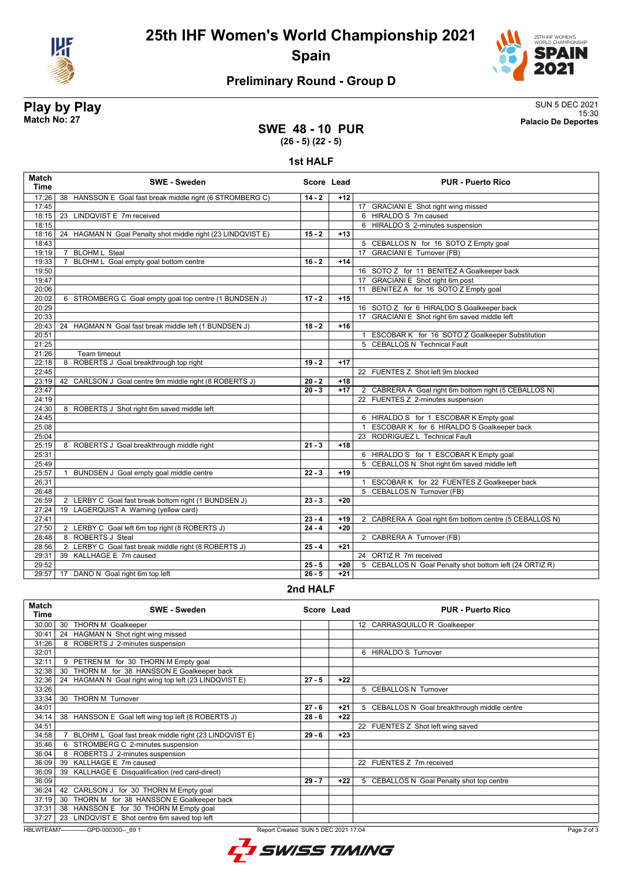

**25th IHF Women's World Championship 2021 Spain**



## **Preliminary Round - Group D**

**Play by Play** SUN 5 DEC 2021 15:30 **Match No: 27 Palacio De Deportes**

### **SWE 48 - 10 PUR (26 - 5) (22 - 5)**

**1st HALF**

| Match<br><b>Time</b> | <b>SWE - Sweden</b>                                            | Score Lead                                |       | <b>PUR - Puerto Rico</b>                                |
|----------------------|----------------------------------------------------------------|-------------------------------------------|-------|---------------------------------------------------------|
| 17:26                | 38 HANSSON E Goal fast break middle right (6 STROMBERG C)      | $14 - 2$                                  | $+12$ |                                                         |
| 17:45                |                                                                |                                           |       | 17 GRACIANI E Shot right wing missed                    |
| 18:15                | 23 LINDQVIST E 7m received                                     |                                           |       | 6 HIRALDO S 7m caused                                   |
| 18:15                |                                                                |                                           |       | 6 HIRALDO S 2-minutes suspension                        |
| 18:16                | HAGMAN N Goal Penalty shot middle right (23 LINDQVIST E)<br>24 | $15 - 2$                                  | $+13$ |                                                         |
| 18:43                |                                                                |                                           |       | 5 CEBALLOS N for 16 SOTO Z Empty goal                   |
| 19:19                | <b>BLOHM L Steal</b><br>$\overline{7}$                         |                                           |       | 17 GRACIANI E Turnover (FB)                             |
| 19:33                | BLOHM L Goal empty goal bottom centre<br>$\overline{7}$        | $16 - 2$                                  | $+14$ |                                                         |
| 19:50                |                                                                |                                           |       | 16 SOTO Z for 11 BENITEZ A Goalkeeper back              |
| 19:47                |                                                                |                                           |       | 17 GRACIANI E Shot right 6m post                        |
| 20:06                |                                                                |                                           |       | 11 BENITEZ A for 16 SOTO Z Empty goal                   |
| 20:02                | 6 STROMBERG C Goal empty goal top centre (1 BUNDSEN J)         | $17 - 2$                                  | $+15$ |                                                         |
| 20:29                |                                                                |                                           |       | 16 SOTO Z for 6 HIRALDO S Goalkeeper back               |
| 20:33                |                                                                |                                           |       | 17 GRACIANI E Shot right 6m saved middle left           |
| 20:43                | 24 HAGMAN N Goal fast break middle left (1 BUNDSEN J)          | $18 - 2$                                  | $+16$ |                                                         |
| 20:51                |                                                                |                                           |       | 1 ESCOBAR K for 16 SOTO Z Goalkeeper Substitution       |
| 21:25                |                                                                |                                           |       | 5 CEBALLOS N Technical Fault                            |
| 21:26                | Team timeout                                                   |                                           |       |                                                         |
| 22:18                | ROBERTS J Goal breakthrough top right<br>8                     | $19 - 2$                                  | $+17$ |                                                         |
| 22:45                |                                                                |                                           |       | 22 FUENTES Z Shot left 9m blocked                       |
| 23:19                | 42 CARLSON J Goal centre 9m middle right (8 ROBERTS J)         | $20 - 2$                                  | $+18$ |                                                         |
| 23:47                |                                                                | $\overline{20} - 3$                       | $+17$ | 2 CABRERA A Goal right 6m bottom right (5 CEBALLOS N)   |
| 24:19                |                                                                |                                           |       | 22 FUENTES Z 2-minutes suspension                       |
| 24:30                | 8 ROBERTS J Shot right 6m saved middle left                    |                                           |       |                                                         |
| 24:45                |                                                                |                                           |       | 6 HIRALDO S for 1 ESCOBAR K Empty goal                  |
| 25:08                |                                                                |                                           |       | 1 ESCOBAR K for 6 HIRALDO S Goalkeeper back             |
| 25:04                |                                                                |                                           |       | 23 RODRIGUEZ L Technical Fault                          |
| 25:19                | 8 ROBERTS J Goal breakthrough middle right                     | $21 - 3$                                  | $+18$ |                                                         |
| 25:31                |                                                                |                                           |       | 6 HIRALDO S for 1 ESCOBAR K Empty goal                  |
| 25:49                |                                                                |                                           |       | 5 CEBALLOS N Shot right 6m saved middle left            |
| 25:57                | BUNDSEN J Goal empty goal middle centre                        | $22 - 3$                                  | $+19$ |                                                         |
| 26:31                |                                                                |                                           |       | 1 ESCOBAR K for 22 FUENTES Z Goalkeeper back            |
| 26:48                |                                                                |                                           |       | 5 CEBALLOS N Turnover (FB)                              |
| 26:59                | 2 LERBY C Goal fast break bottom right (1 BUNDSEN J)           | $23 - 3$                                  | $+20$ |                                                         |
| 27:24                | 19<br>LAGERQUIST A Warning (yellow card)                       |                                           |       |                                                         |
| 27:41                |                                                                | $23 - 4$                                  | $+19$ | 2 CABRERA A Goal right 6m bottom centre (5 CEBALLOS N)  |
| 27:50                | 2 LERBY C Goal left 6m top right (8 ROBERTS J)                 | $24 - 4$                                  | $+20$ |                                                         |
| 28:48                | 8 ROBERTS J Steal                                              |                                           |       | 2 CABRERA A Turnover (FB)                               |
| 28:56                | 2 LERBY C Goal fast break middle right (8 ROBERTS J)           | $25 - 4$                                  | $+21$ |                                                         |
| 29:31                | 39 KALLHAGE E 7m caused                                        |                                           |       | 24 ORTIZ R 7m received                                  |
| 29:52                |                                                                | $25 - 5$                                  | $+20$ | 5 CEBALLOS N Goal Penalty shot bottom left (24 ORTIZ R) |
| 29:57                | 17 DANO N Goal right 6m top left                               | $26 - 5$                                  | $+21$ |                                                         |
|                      |                                                                | $\sim$ $\sim$ $\sim$ $\sim$ $\sim$ $\sim$ |       |                                                         |

#### **2nd HALF**

| <b>Match</b><br>Time | <b>SWE - Sweden</b>                                      | Score Lead                          |       | <b>PUR - Puerto Rico</b>                     |  |
|----------------------|----------------------------------------------------------|-------------------------------------|-------|----------------------------------------------|--|
| 30:00                | 30<br><b>THORN M Goalkeeper</b>                          |                                     |       | 12 CARRASQUILLO R Goalkeeper                 |  |
| 30:41                | 24 HAGMAN N Shot right wing missed                       |                                     |       |                                              |  |
| 31:26                | ROBERTS J 2-minutes suspension<br>8                      |                                     |       |                                              |  |
| 32:01                |                                                          |                                     |       | <b>HIRALDO S Turnover</b><br>6               |  |
| 32:11                | 9 PETREN M for 30 THORN M Empty goal                     |                                     |       |                                              |  |
| 32:38                | THORN M for 38 HANSSON E Goalkeeper back<br>30           |                                     |       |                                              |  |
| 32:36                | HAGMAN N Goal right wing top left (23 LINDQVIST E)<br>24 | $27 - 5$                            | $+22$ |                                              |  |
| 33:26                |                                                          |                                     |       | 5 CEBALLOS N Turnover                        |  |
| 33:34                | <b>THORN M Turnover</b><br>30                            |                                     |       |                                              |  |
| 34:01                |                                                          | $27 - 6$                            | +21   | 5 CEBALLOS N Goal breakthrough middle centre |  |
| 34:14                | HANSSON E Goal left wing top left (8 ROBERTS J)<br>38    | $28 - 6$                            | $+22$ |                                              |  |
| 34:51                |                                                          |                                     |       | 22 FUENTES Z Shot left wing saved            |  |
| 34:58                | BLOHM L Goal fast break middle right (23 LINDQVIST E)    | $29 - 6$                            | $+23$ |                                              |  |
| 35:46                | STROMBERG C 2-minutes suspension                         |                                     |       |                                              |  |
| 36:04                | 8 ROBERTS J 2-minutes suspension                         |                                     |       |                                              |  |
| 36:09                | KALLHAGE E 7m caused<br>39                               |                                     |       | 22 FUENTES Z 7m received                     |  |
| 36:09                | KALLHAGE E Disqualification (red card-direct)<br>39      |                                     |       |                                              |  |
| 36:09                |                                                          | $29 - 7$                            | $+22$ | 5 CEBALLOS N Goal Penalty shot top centre    |  |
| 36:24                | CARLSON J for 30 THORN M Empty goal<br>42                |                                     |       |                                              |  |
| 37:19                | THORN M for 38 HANSSON E Goalkeeper back<br>30           |                                     |       |                                              |  |
| 37:31                | HANSSON E for 30 THORN M Empty goal<br>38                |                                     |       |                                              |  |
| 37:27                | LINDQVIST E Shot centre 6m saved top left<br>23          |                                     |       |                                              |  |
|                      | HBLWTEAM7-------------GPD-000300-- 69 1                  | Report Created SUN 5 DEC 2021 17:04 |       | Page 2 of 3                                  |  |